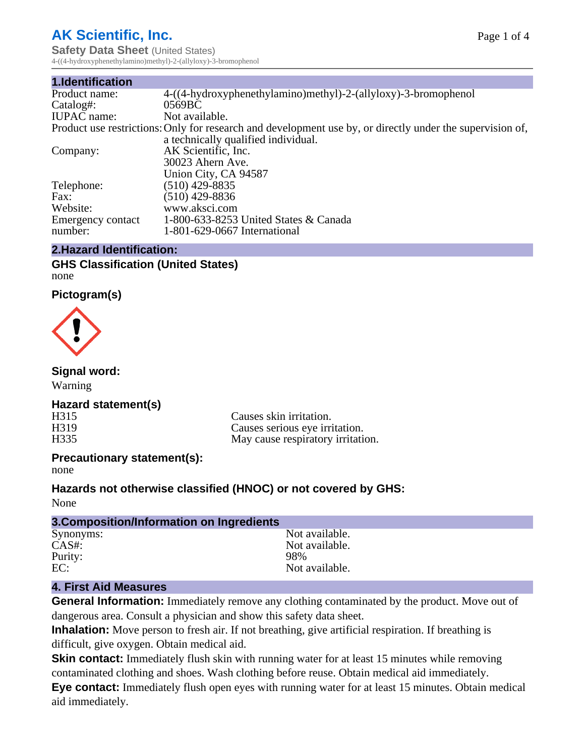# **AK Scientific, Inc.**

**Safety Data Sheet** (United States) 4-((4-hydroxyphenethylamino)methyl)-2-(allyloxy)-3-bromophenol

| Product use restrictions: Only for research and development use by, or directly under the supervision of, |
|-----------------------------------------------------------------------------------------------------------|
|                                                                                                           |
|                                                                                                           |
|                                                                                                           |
|                                                                                                           |
|                                                                                                           |
|                                                                                                           |
|                                                                                                           |
|                                                                                                           |
|                                                                                                           |
|                                                                                                           |

## **2.Hazard Identification:**

## **GHS Classification (United States)** none

**Pictogram(s)**



**Signal word:**

Warning

## **Hazard statement(s)**

H315 Causes skin irritation.<br>
H319 Causes serious eve irri H319 Causes serious eye irritation.<br>H335 May cause respiratory irritation. May cause respiratory irritation.

## **Precautionary statement(s):**

none

## **Hazards not otherwise classified (HNOC) or not covered by GHS:**

None

| 3. Composition/Information on Ingredients |                |
|-------------------------------------------|----------------|
| Synonyms:                                 | Not available. |
| CAS#:                                     | Not available. |
| Purity:                                   | 98%            |
| EC:                                       | Not available. |

## **4. First Aid Measures**

**General Information:** Immediately remove any clothing contaminated by the product. Move out of dangerous area. Consult a physician and show this safety data sheet.

**Inhalation:** Move person to fresh air. If not breathing, give artificial respiration. If breathing is difficult, give oxygen. Obtain medical aid.

**Skin contact:** Immediately flush skin with running water for at least 15 minutes while removing contaminated clothing and shoes. Wash clothing before reuse. Obtain medical aid immediately.

**Eye contact:** Immediately flush open eyes with running water for at least 15 minutes. Obtain medical aid immediately.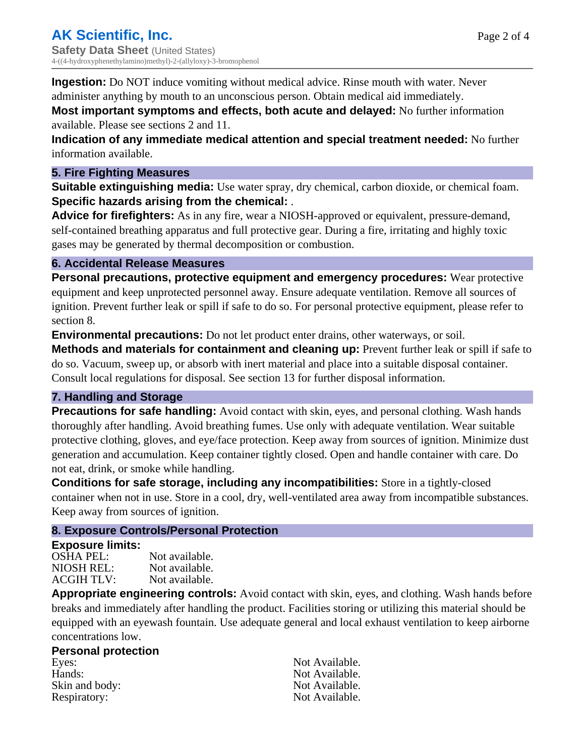**Ingestion:** Do NOT induce vomiting without medical advice. Rinse mouth with water. Never administer anything by mouth to an unconscious person. Obtain medical aid immediately.

**Most important symptoms and effects, both acute and delayed:** No further information available. Please see sections 2 and 11.

**Indication of any immediate medical attention and special treatment needed:** No further information available.

## **5. Fire Fighting Measures**

**Suitable extinguishing media:** Use water spray, dry chemical, carbon dioxide, or chemical foam. **Specific hazards arising from the chemical:** .

**Advice for firefighters:** As in any fire, wear a NIOSH-approved or equivalent, pressure-demand, self-contained breathing apparatus and full protective gear. During a fire, irritating and highly toxic gases may be generated by thermal decomposition or combustion.

## **6. Accidental Release Measures**

**Personal precautions, protective equipment and emergency procedures:** Wear protective equipment and keep unprotected personnel away. Ensure adequate ventilation. Remove all sources of ignition. Prevent further leak or spill if safe to do so. For personal protective equipment, please refer to section 8.

**Environmental precautions:** Do not let product enter drains, other waterways, or soil.

**Methods and materials for containment and cleaning up:** Prevent further leak or spill if safe to do so. Vacuum, sweep up, or absorb with inert material and place into a suitable disposal container. Consult local regulations for disposal. See section 13 for further disposal information.

## **7. Handling and Storage**

**Precautions for safe handling:** Avoid contact with skin, eyes, and personal clothing. Wash hands thoroughly after handling. Avoid breathing fumes. Use only with adequate ventilation. Wear suitable protective clothing, gloves, and eye/face protection. Keep away from sources of ignition. Minimize dust generation and accumulation. Keep container tightly closed. Open and handle container with care. Do not eat, drink, or smoke while handling.

**Conditions for safe storage, including any incompatibilities:** Store in a tightly-closed container when not in use. Store in a cool, dry, well-ventilated area away from incompatible substances. Keep away from sources of ignition.

## **8. Exposure Controls/Personal Protection**

## **Exposure limits:**

| <b>OSHA PEL:</b>  | Not available. |
|-------------------|----------------|
| NIOSH REL:        | Not available. |
| <b>ACGIH TLV:</b> | Not available. |

**Appropriate engineering controls:** Avoid contact with skin, eyes, and clothing. Wash hands before breaks and immediately after handling the product. Facilities storing or utilizing this material should be equipped with an eyewash fountain. Use adequate general and local exhaust ventilation to keep airborne concentrations low.

## **Personal protection**

Eyes: Not Available. Hands: Not Available. Skin and body: Not Available. Respiratory: Not Available.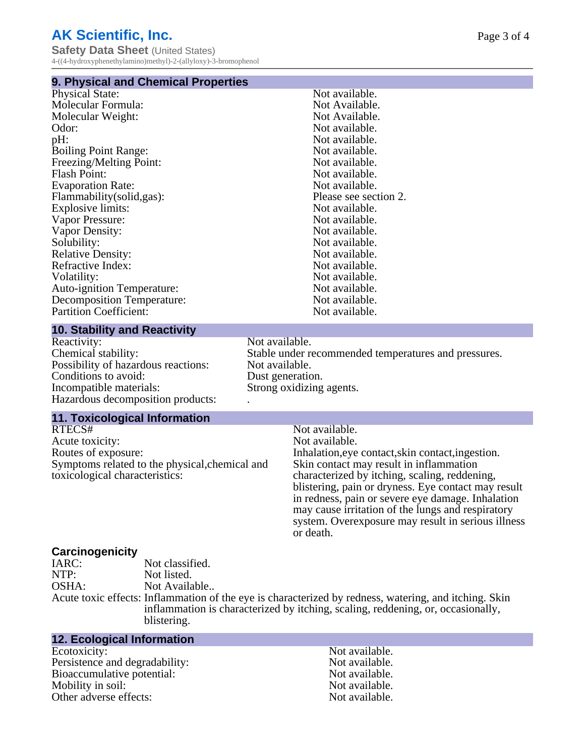# **AK Scientific, Inc.**

**Safety Data Sheet** (United States) 4-((4-hydroxyphenethylamino)methyl)-2-(allyloxy)-3-bromophenol

#### **9. Physical and Chemical Properties**

| <b>Physical State:</b>            | Not available.        |
|-----------------------------------|-----------------------|
| Molecular Formula:                | Not Available.        |
| Molecular Weight:                 | Not Available.        |
| Odor:                             | Not available.        |
| pH:                               | Not available.        |
| <b>Boiling Point Range:</b>       | Not available.        |
| Freezing/Melting Point:           | Not available.        |
| <b>Flash Point:</b>               | Not available.        |
| <b>Evaporation Rate:</b>          | Not available.        |
| Flammability (solid, gas):        | Please see section 2. |
| Explosive limits:                 | Not available.        |
| Vapor Pressure:                   | Not available.        |
| Vapor Density:                    | Not available.        |
| Solubility:                       | Not available.        |
| <b>Relative Density:</b>          | Not available.        |
| Refractive Index:                 | Not available.        |
| Volatility:                       | Not available.        |
| <b>Auto-ignition Temperature:</b> | Not available.        |
| <b>Decomposition Temperature:</b> | Not available.        |
| <b>Partition Coefficient:</b>     | Not available.        |
|                                   |                       |

## **10. Stability and Reactivity**

Reactivity: Not available.<br>Chemical stability: Stable under re Possibility of hazardous reactions: Not available. Conditions to avoid: Dust generation.<br>
Incompatible materials: Strong oxidizing Hazardous decomposition products: .

## **11. Toxicological Information**

RTECS# Not available.<br>Acute toxicity: Not available.<br>Not available. Acute toxicity:<br>Routes of exposure: Symptoms related to the physical,chemical and toxicological characteristics:

Stable under recommended temperatures and pressures. Strong oxidizing agents.

> Inhalation, eye contact, skin contact, ingestion. Skin contact may result in inflammation characterized by itching, scaling, reddening, blistering, pain or dryness. Eye contact may result in redness, pain or severe eye damage. Inhalation may cause irritation of the lungs and respiratory system. Overexposure may result in serious illness or death.

# **Carcinogenicity**

Not classified. NTP: Not listed. OSHA: Not Available..

Acute toxic effects: Inflammation of the eye is characterized by redness, watering, and itching. Skin inflammation is characterized by itching, scaling, reddening, or, occasionally, blistering.

## **12. Ecological Information**

Ecotoxicity: Not available.<br>
Not available.<br>
Not available.<br>
Not available. Persistence and degradability:<br>
Bioaccumulative potential:<br>
Not available.<br>
Not available. Bioaccumulative potential: Mobility in soil:<br>
Other adverse effects:<br>
Other adverse effects:<br>  $\begin{array}{ccc}\n\bullet & \bullet & \bullet \\
\bullet & \bullet & \bullet \\
\bullet & \bullet & \bullet\n\end{array}$ Other adverse effects: